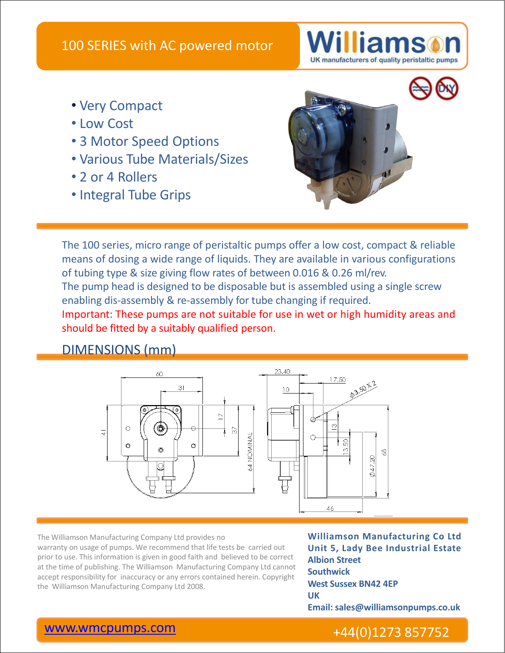

- Very Compact
- Low Cost
- 3 Motor Speed Options
- Various Tube Materials/Sizes
- 2 or 4 Rollers
- Integral Tube Grips



The 100 series, micro range of peristaltic pumps offer a low cost, compact & reliable means of dosing a wide range of liquids. They are available in various configurations of tubing type & size giving flow rates of between 0.016 & 0.26 ml/rev. The pump head is designed to be disposable but is assembled using a single screw

enabling dis-assembly & re-assembly for tube changing if required.

Important: These pumps are not suitable for use in wet or high humidity areas and should be fitted by a suitably qualified person.

### DIMENSIONS (mm)



The Williamson Manufacturing Company Ltd provides no warranty on usage of pumps. We recommend that life tests be carried out prior to use. This information is given in good faith and believed to be correct at the time of publishing. The Williamson Manufacturing Company Ltd cannot accept responsibility for inaccuracy or any errors contained herein. Copyright the Williamson Manufacturing Company Ltd 2008.

**Williamson Manufacturing Co Ltd Unit 5, Lady Bee Industrial Estate Albion Street Southwick West Sussex BN42 4EP UK Email: sales@williamsonpumps.co.uk**

## www.wmcpumps.com +44(0)1273 857752